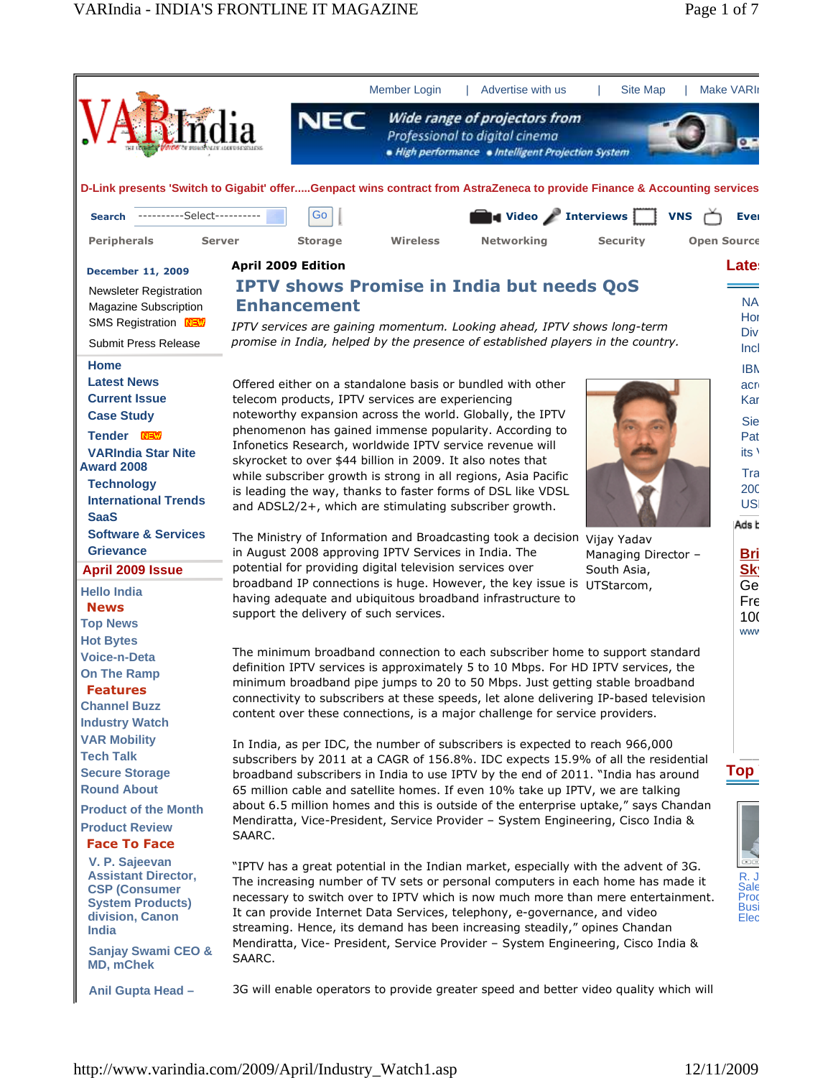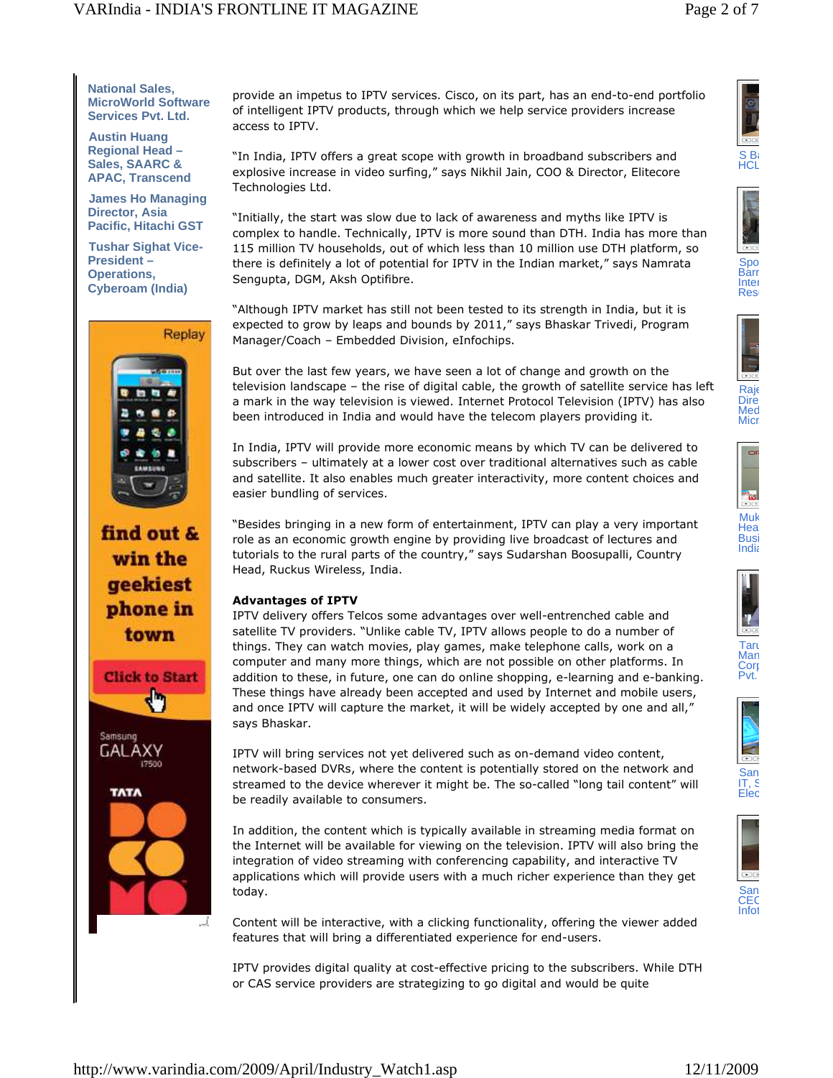**National Sales, MicroWorld Software Services Pvt. Ltd.**

**Austin Huang Regional Head – Sales, SAARC & APAC, Transcend**

**James Ho Managing Director, Asia Pacific, Hitachi GST**

**Tushar Sighat Vice-President – Operations, Cyberoam (India)**



find out & win the geekiest phone in town







provide an impetus to IPTV services. Cisco, on its part, has an end-to-end portfolio of intelligent IPTV products, through which we help service providers increase access to IPTV.

"In India, IPTV offers a great scope with growth in broadband subscribers and explosive increase in video surfing," says Nikhil Jain, COO & Director, Elitecore Technologies Ltd.

"Initially, the start was slow due to lack of awareness and myths like IPTV is complex to handle. Technically, IPTV is more sound than DTH. India has more than 115 million TV households, out of which less than 10 million use DTH platform, so there is definitely a lot of potential for IPTV in the Indian market," says Namrata Sengupta, DGM, Aksh Optifibre.

"Although IPTV market has still not been tested to its strength in India, but it is expected to grow by leaps and bounds by 2011," says Bhaskar Trivedi, Program Manager/Coach – Embedded Division, eInfochips.

But over the last few years, we have seen a lot of change and growth on the television landscape – the rise of digital cable, the growth of satellite service has left a mark in the way television is viewed. Internet Protocol Television (IPTV) has also been introduced in India and would have the telecom players providing it.

In India, IPTV will provide more economic means by which TV can be delivered to subscribers – ultimately at a lower cost over traditional alternatives such as cable and satellite. It also enables much greater interactivity, more content choices and easier bundling of services.

"Besides bringing in a new form of entertainment, IPTV can play a very important role as an economic growth engine by providing live broadcast of lectures and tutorials to the rural parts of the country," says Sudarshan Boosupalli, Country Head, Ruckus Wireless, India.

# **Advantages of IPTV**

IPTV delivery offers Telcos some advantages over well-entrenched cable and satellite TV providers. "Unlike cable TV, IPTV allows people to do a number of things. They can watch movies, play games, make telephone calls, work on a computer and many more things, which are not possible on other platforms. In addition to these, in future, one can do online shopping, e-learning and e-banking. These things have already been accepted and used by Internet and mobile users, and once IPTV will capture the market, it will be widely accepted by one and all," says Bhaskar.

IPTV will bring services not yet delivered such as on-demand video content, network-based DVRs, where the content is potentially stored on the network and streamed to the device wherever it might be. The so-called "long tail content" will be readily available to consumers.

In addition, the content which is typically available in streaming media format on the Internet will be available for viewing on the television. IPTV will also bring the integration of video streaming with conferencing capability, and interactive TV applications which will provide users with a much richer experience than they get today.

Content will be interactive, with a clicking functionality, offering the viewer added features that will bring a differentiated experience for end-users.

IPTV provides digital quality at cost-effective pricing to the subscribers. While DTH or CAS service providers are strategizing to go digital and would be quite















Pvt.



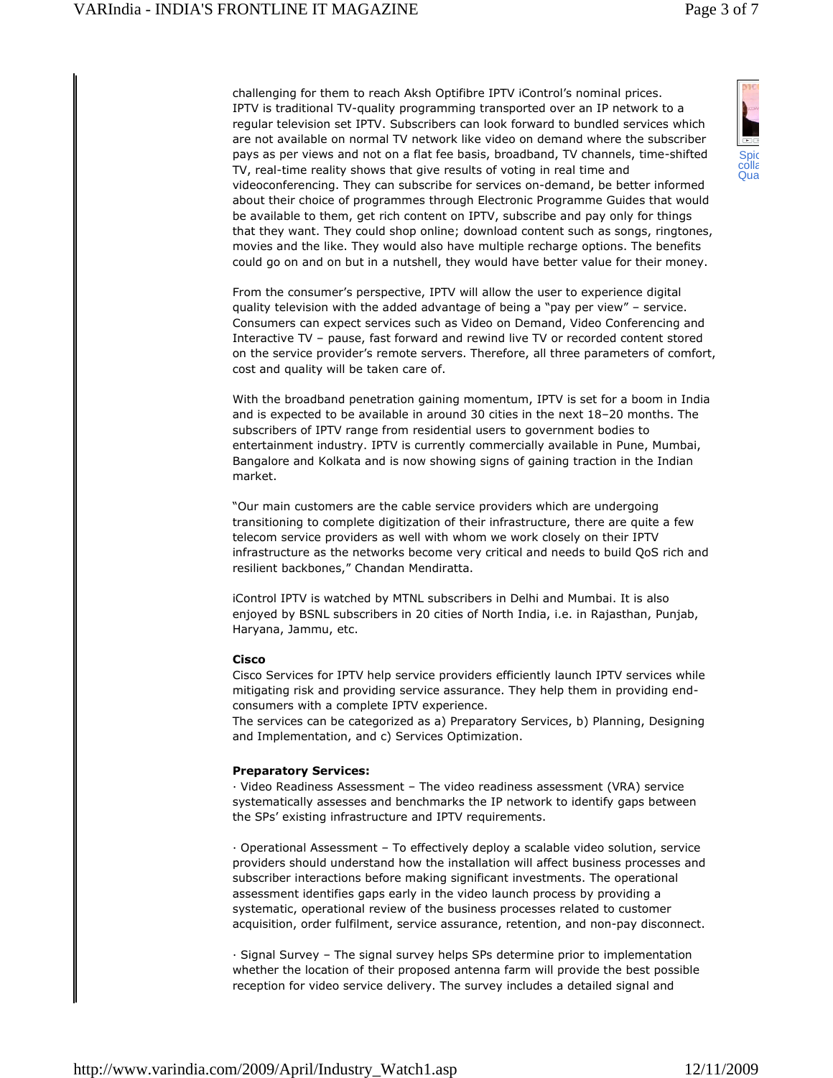challenging for them to reach Aksh Optifibre IPTV iControl's nominal prices. IPTV is traditional TV-quality programming transported over an IP network to a regular television set IPTV. Subscribers can look forward to bundled services which are not available on normal TV network like video on demand where the subscriber pays as per views and not on a flat fee basis, broadband, TV channels, time-shifted TV, real-time reality shows that give results of voting in real time and videoconferencing. They can subscribe for services on-demand, be better informed about their choice of programmes through Electronic Programme Guides that would be available to them, get rich content on IPTV, subscribe and pay only for things that they want. They could shop online; download content such as songs, ringtones, movies and the like. They would also have multiple recharge options. The benefits could go on and on but in a nutshell, they would have better value for their money.

From the consumer's perspective, IPTV will allow the user to experience digital quality television with the added advantage of being a "pay per view" – service. Consumers can expect services such as Video on Demand, Video Conferencing and Interactive TV – pause, fast forward and rewind live TV or recorded content stored on the service provider's remote servers. Therefore, all three parameters of comfort, cost and quality will be taken care of.

With the broadband penetration gaining momentum, IPTV is set for a boom in India and is expected to be available in around 30 cities in the next 18–20 months. The subscribers of IPTV range from residential users to government bodies to entertainment industry. IPTV is currently commercially available in Pune, Mumbai, Bangalore and Kolkata and is now showing signs of gaining traction in the Indian market.

"Our main customers are the cable service providers which are undergoing transitioning to complete digitization of their infrastructure, there are quite a few telecom service providers as well with whom we work closely on their IPTV infrastructure as the networks become very critical and needs to build QoS rich and resilient backbones," Chandan Mendiratta.

iControl IPTV is watched by MTNL subscribers in Delhi and Mumbai. It is also enjoyed by BSNL subscribers in 20 cities of North India, i.e. in Rajasthan, Punjab, Haryana, Jammu, etc.

# **Cisco**

Cisco Services for IPTV help service providers efficiently launch IPTV services while mitigating risk and providing service assurance. They help them in providing endconsumers with a complete IPTV experience.

The services can be categorized as a) Preparatory Services, b) Planning, Designing and Implementation, and c) Services Optimization.

#### **Preparatory Services:**

 Video Readiness Assessment – The video readiness assessment (VRA) service systematically assesses and benchmarks the IP network to identify gaps between the SPs' existing infrastructure and IPTV requirements.

 Operational Assessment – To effectively deploy a scalable video solution, service providers should understand how the installation will affect business processes and subscriber interactions before making significant investments. The operational assessment identifies gaps early in the video launch process by providing a systematic, operational review of the business processes related to customer acquisition, order fulfilment, service assurance, retention, and non-pay disconnect.

 Signal Survey – The signal survey helps SPs determine prior to implementation whether the location of their proposed antenna farm will provide the best possible reception for video service delivery. The survey includes a detailed signal and

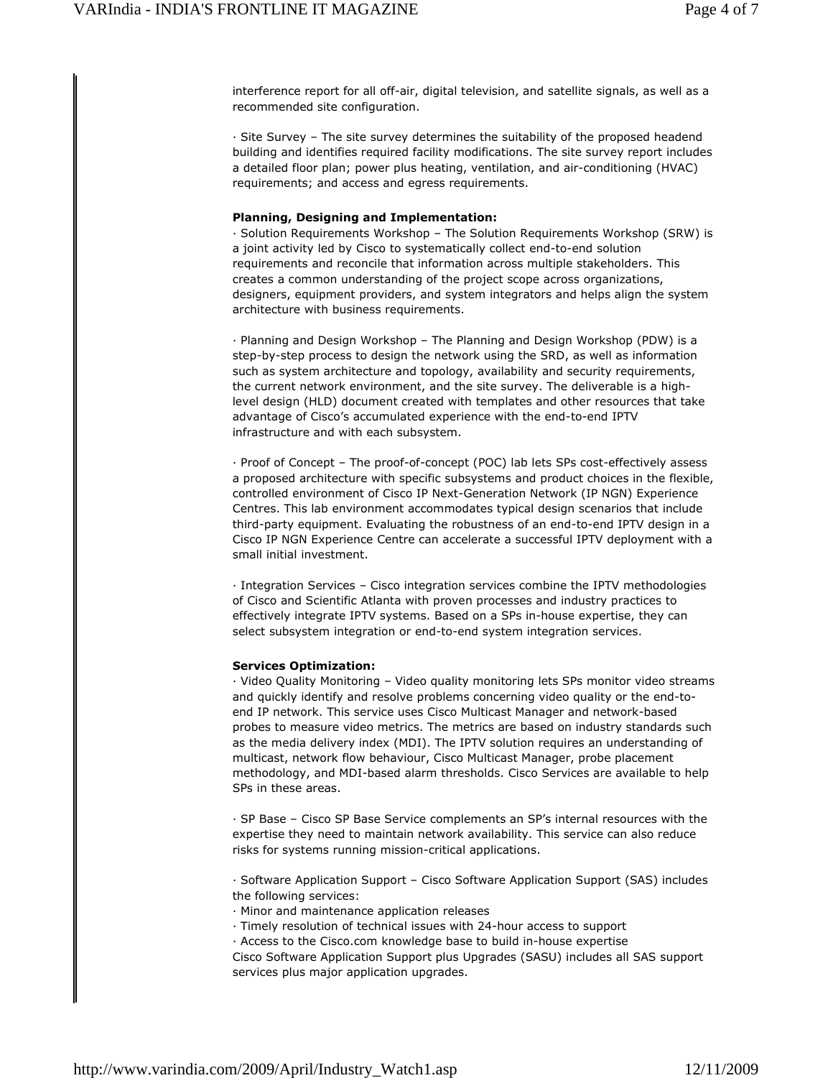interference report for all off-air, digital television, and satellite signals, as well as a recommended site configuration.

 Site Survey – The site survey determines the suitability of the proposed headend building and identifies required facility modifications. The site survey report includes a detailed floor plan; power plus heating, ventilation, and air-conditioning (HVAC) requirements; and access and egress requirements.

## **Planning, Designing and Implementation:**

 Solution Requirements Workshop – The Solution Requirements Workshop (SRW) is a joint activity led by Cisco to systematically collect end-to-end solution requirements and reconcile that information across multiple stakeholders. This creates a common understanding of the project scope across organizations, designers, equipment providers, and system integrators and helps align the system architecture with business requirements.

 Planning and Design Workshop – The Planning and Design Workshop (PDW) is a step-by-step process to design the network using the SRD, as well as information such as system architecture and topology, availability and security requirements, the current network environment, and the site survey. The deliverable is a highlevel design (HLD) document created with templates and other resources that take advantage of Cisco's accumulated experience with the end-to-end IPTV infrastructure and with each subsystem.

· Proof of Concept – The proof-of-concept (POC) lab lets SPs cost-effectively assess a proposed architecture with specific subsystems and product choices in the flexible, controlled environment of Cisco IP Next-Generation Network (IP NGN) Experience Centres. This lab environment accommodates typical design scenarios that include third-party equipment. Evaluating the robustness of an end-to-end IPTV design in a Cisco IP NGN Experience Centre can accelerate a successful IPTV deployment with a small initial investment.

 Integration Services – Cisco integration services combine the IPTV methodologies of Cisco and Scientific Atlanta with proven processes and industry practices to effectively integrate IPTV systems. Based on a SPs in-house expertise, they can select subsystem integration or end-to-end system integration services.

# **Services Optimization:**

 Video Quality Monitoring – Video quality monitoring lets SPs monitor video streams and quickly identify and resolve problems concerning video quality or the end-toend IP network. This service uses Cisco Multicast Manager and network-based probes to measure video metrics. The metrics are based on industry standards such as the media delivery index (MDI). The IPTV solution requires an understanding of multicast, network flow behaviour, Cisco Multicast Manager, probe placement methodology, and MDI-based alarm thresholds. Cisco Services are available to help SPs in these areas.

 SP Base – Cisco SP Base Service complements an SP's internal resources with the expertise they need to maintain network availability. This service can also reduce risks for systems running mission-critical applications.

 Software Application Support – Cisco Software Application Support (SAS) includes the following services:

Minor and maintenance application releases

Timely resolution of technical issues with 24-hour access to support

Access to the Cisco.com knowledge base to build in-house expertise

Cisco Software Application Support plus Upgrades (SASU) includes all SAS support services plus major application upgrades.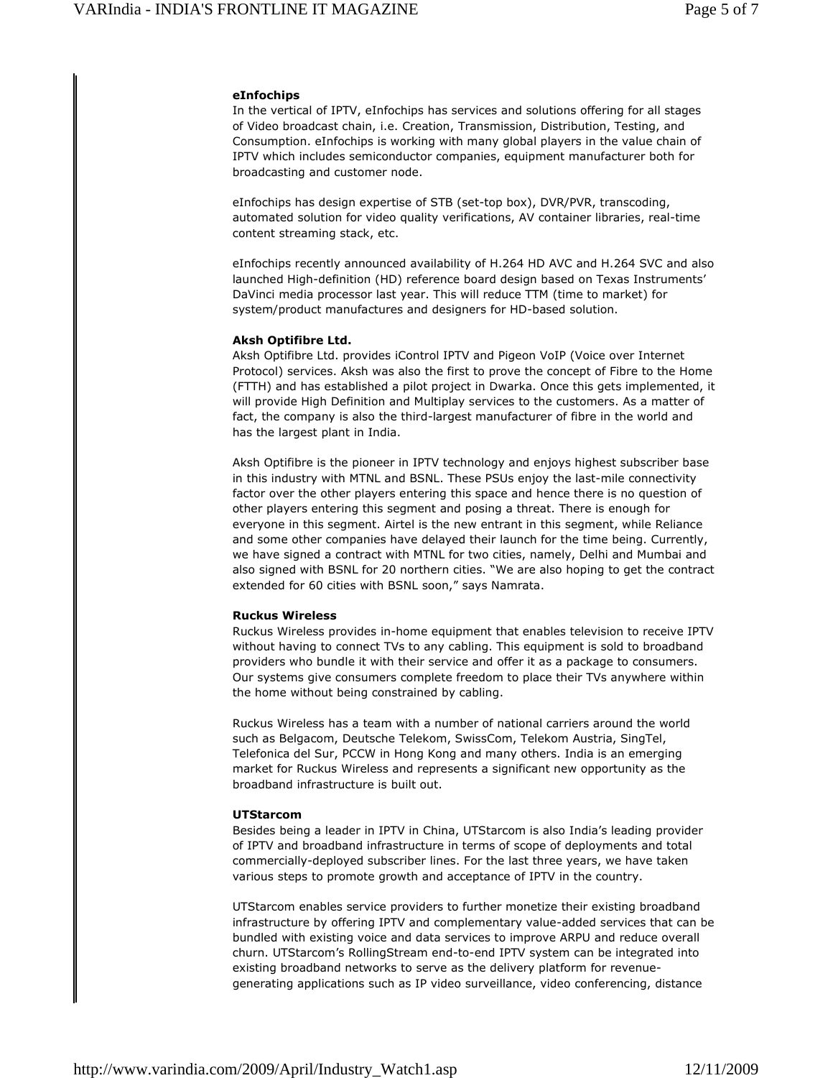### **eInfochips**

In the vertical of IPTV, eInfochips has services and solutions offering for all stages of Video broadcast chain, i.e. Creation, Transmission, Distribution, Testing, and Consumption. eInfochips is working with many global players in the value chain of IPTV which includes semiconductor companies, equipment manufacturer both for broadcasting and customer node.

eInfochips has design expertise of STB (set-top box), DVR/PVR, transcoding, automated solution for video quality verifications, AV container libraries, real-time content streaming stack, etc.

eInfochips recently announced availability of H.264 HD AVC and H.264 SVC and also launched High-definition (HD) reference board design based on Texas Instruments' DaVinci media processor last year. This will reduce TTM (time to market) for system/product manufactures and designers for HD-based solution.

## **Aksh Optifibre Ltd.**

Aksh Optifibre Ltd. provides iControl IPTV and Pigeon VoIP (Voice over Internet Protocol) services. Aksh was also the first to prove the concept of Fibre to the Home (FTTH) and has established a pilot project in Dwarka. Once this gets implemented, it will provide High Definition and Multiplay services to the customers. As a matter of fact, the company is also the third-largest manufacturer of fibre in the world and has the largest plant in India.

Aksh Optifibre is the pioneer in IPTV technology and enjoys highest subscriber base in this industry with MTNL and BSNL. These PSUs enjoy the last-mile connectivity factor over the other players entering this space and hence there is no question of other players entering this segment and posing a threat. There is enough for everyone in this segment. Airtel is the new entrant in this segment, while Reliance and some other companies have delayed their launch for the time being. Currently, we have signed a contract with MTNL for two cities, namely, Delhi and Mumbai and also signed with BSNL for 20 northern cities. "We are also hoping to get the contract extended for 60 cities with BSNL soon," says Namrata.

# **Ruckus Wireless**

Ruckus Wireless provides in-home equipment that enables television to receive IPTV without having to connect TVs to any cabling. This equipment is sold to broadband providers who bundle it with their service and offer it as a package to consumers. Our systems give consumers complete freedom to place their TVs anywhere within the home without being constrained by cabling.

Ruckus Wireless has a team with a number of national carriers around the world such as Belgacom, Deutsche Telekom, SwissCom, Telekom Austria, SingTel, Telefonica del Sur, PCCW in Hong Kong and many others. India is an emerging market for Ruckus Wireless and represents a significant new opportunity as the broadband infrastructure is built out.

#### **UTStarcom**

Besides being a leader in IPTV in China, UTStarcom is also India's leading provider of IPTV and broadband infrastructure in terms of scope of deployments and total commercially-deployed subscriber lines. For the last three years, we have taken various steps to promote growth and acceptance of IPTV in the country.

UTStarcom enables service providers to further monetize their existing broadband infrastructure by offering IPTV and complementary value-added services that can be bundled with existing voice and data services to improve ARPU and reduce overall churn. UTStarcom's RollingStream end-to-end IPTV system can be integrated into existing broadband networks to serve as the delivery platform for revenuegenerating applications such as IP video surveillance, video conferencing, distance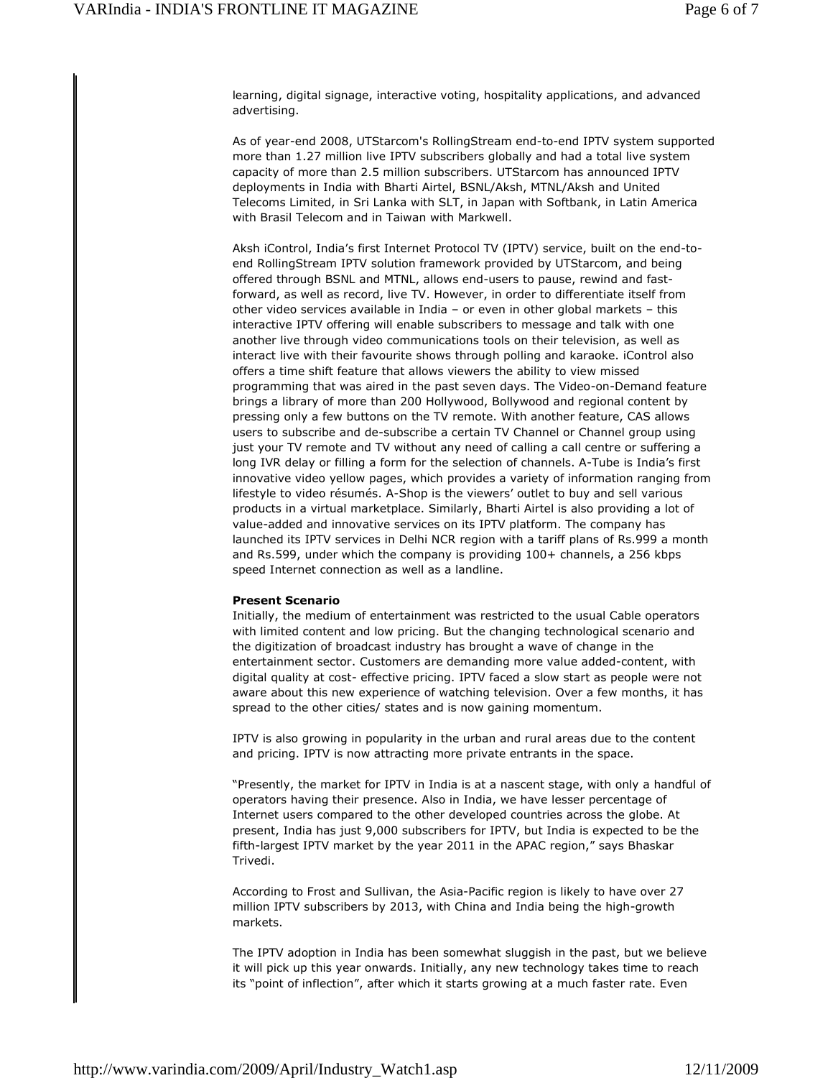learning, digital signage, interactive voting, hospitality applications, and advanced advertising.

As of year-end 2008, UTStarcom's RollingStream end-to-end IPTV system supported more than 1.27 million live IPTV subscribers globally and had a total live system capacity of more than 2.5 million subscribers. UTStarcom has announced IPTV deployments in India with Bharti Airtel, BSNL/Aksh, MTNL/Aksh and United Telecoms Limited, in Sri Lanka with SLT, in Japan with Softbank, in Latin America with Brasil Telecom and in Taiwan with Markwell.

Aksh iControl, India's first Internet Protocol TV (IPTV) service, built on the end-toend RollingStream IPTV solution framework provided by UTStarcom, and being offered through BSNL and MTNL, allows end-users to pause, rewind and fastforward, as well as record, live TV. However, in order to differentiate itself from other video services available in India – or even in other global markets – this interactive IPTV offering will enable subscribers to message and talk with one another live through video communications tools on their television, as well as interact live with their favourite shows through polling and karaoke. iControl also offers a time shift feature that allows viewers the ability to view missed programming that was aired in the past seven days. The Video-on-Demand feature brings a library of more than 200 Hollywood, Bollywood and regional content by pressing only a few buttons on the TV remote. With another feature, CAS allows users to subscribe and de-subscribe a certain TV Channel or Channel group using just your TV remote and TV without any need of calling a call centre or suffering a long IVR delay or filling a form for the selection of channels. A-Tube is India's first innovative video yellow pages, which provides a variety of information ranging from lifestyle to video résumés. A-Shop is the viewers' outlet to buy and sell various products in a virtual marketplace. Similarly, Bharti Airtel is also providing a lot of value-added and innovative services on its IPTV platform. The company has launched its IPTV services in Delhi NCR region with a tariff plans of Rs.999 a month and Rs.599, under which the company is providing 100+ channels, a 256 kbps speed Internet connection as well as a landline.

# **Present Scenario**

Initially, the medium of entertainment was restricted to the usual Cable operators with limited content and low pricing. But the changing technological scenario and the digitization of broadcast industry has brought a wave of change in the entertainment sector. Customers are demanding more value added-content, with digital quality at cost- effective pricing. IPTV faced a slow start as people were not aware about this new experience of watching television. Over a few months, it has spread to the other cities/ states and is now gaining momentum.

IPTV is also growing in popularity in the urban and rural areas due to the content and pricing. IPTV is now attracting more private entrants in the space.

"Presently, the market for IPTV in India is at a nascent stage, with only a handful of operators having their presence. Also in India, we have lesser percentage of Internet users compared to the other developed countries across the globe. At present, India has just 9,000 subscribers for IPTV, but India is expected to be the fifth-largest IPTV market by the year 2011 in the APAC region," says Bhaskar Trivedi.

According to Frost and Sullivan, the Asia-Pacific region is likely to have over 27 million IPTV subscribers by 2013, with China and India being the high-growth markets.

The IPTV adoption in India has been somewhat sluggish in the past, but we believe it will pick up this year onwards. Initially, any new technology takes time to reach its "point of inflection", after which it starts growing at a much faster rate. Even